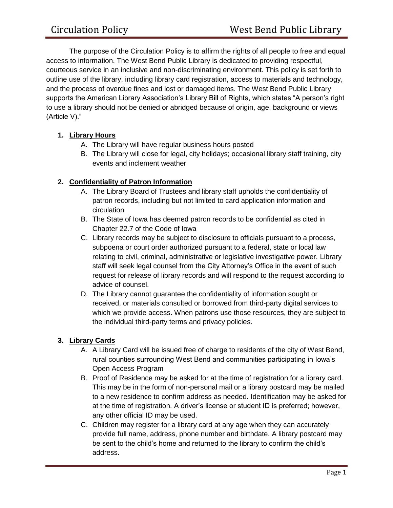The purpose of the Circulation Policy is to affirm the rights of all people to free and equal access to information. The West Bend Public Library is dedicated to providing respectful, courteous service in an inclusive and non-discriminating environment. This policy is set forth to outline use of the library, including library card registration, access to materials and technology, and the process of overdue fines and lost or damaged items. The West Bend Public Library supports the American Library Association's Library Bill of Rights, which states "A person's right to use a library should not be denied or abridged because of origin, age, background or views (Article V)."

# **1. Library Hours**

- A. The Library will have regular business hours posted
- B. The Library will close for legal, city holidays; occasional library staff training, city events and inclement weather

## **2. Confidentiality of Patron Information**

- A. The Library Board of Trustees and library staff upholds the confidentiality of patron records, including but not limited to card application information and circulation
- B. The State of Iowa has deemed patron records to be confidential as cited in Chapter 22.7 of the Code of Iowa
- C. Library records may be subject to disclosure to officials pursuant to a process, subpoena or court order authorized pursuant to a federal, state or local law relating to civil, criminal, administrative or legislative investigative power. Library staff will seek legal counsel from the City Attorney's Office in the event of such request for release of library records and will respond to the request according to advice of counsel.
- D. The Library cannot guarantee the confidentiality of information sought or received, or materials consulted or borrowed from third-party digital services to which we provide access. When patrons use those resources, they are subject to the individual third-party terms and privacy policies.

# **3. Library Cards**

- A. A Library Card will be issued free of charge to residents of the city of West Bend, rural counties surrounding West Bend and communities participating in Iowa's Open Access Program
- B. Proof of Residence may be asked for at the time of registration for a library card. This may be in the form of non-personal mail or a library postcard may be mailed to a new residence to confirm address as needed. Identification may be asked for at the time of registration. A driver's license or student ID is preferred; however, any other official ID may be used.
- C. Children may register for a library card at any age when they can accurately provide full name, address, phone number and birthdate. A library postcard may be sent to the child's home and returned to the library to confirm the child's address.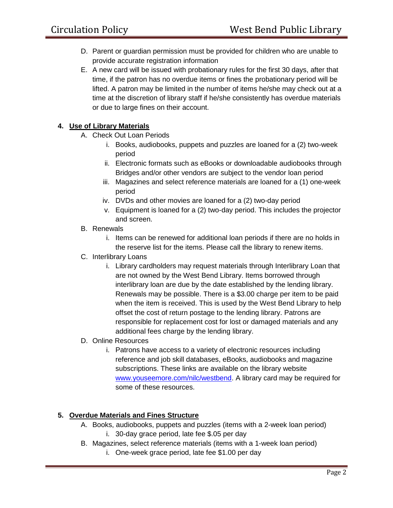- D. Parent or guardian permission must be provided for children who are unable to provide accurate registration information
- E. A new card will be issued with probationary rules for the first 30 days, after that time, if the patron has no overdue items or fines the probationary period will be lifted. A patron may be limited in the number of items he/she may check out at a time at the discretion of library staff if he/she consistently has overdue materials or due to large fines on their account.

### **4. Use of Library Materials**

- A. Check Out Loan Periods
	- i. Books, audiobooks, puppets and puzzles are loaned for a (2) two-week period
	- ii. Electronic formats such as eBooks or downloadable audiobooks through Bridges and/or other vendors are subject to the vendor loan period
	- iii. Magazines and select reference materials are loaned for a (1) one-week period
	- iv. DVDs and other movies are loaned for a (2) two-day period
	- v. Equipment is loaned for a (2) two-day period. This includes the projector and screen.
- B. Renewals
	- i. Items can be renewed for additional loan periods if there are no holds in the reserve list for the items. Please call the library to renew items.
- C. Interlibrary Loans
	- i. Library cardholders may request materials through Interlibrary Loan that are not owned by the West Bend Library. Items borrowed through interlibrary loan are due by the date established by the lending library. Renewals may be possible. There is a \$3.00 charge per item to be paid when the item is received. This is used by the West Bend Library to help offset the cost of return postage to the lending library. Patrons are responsible for replacement cost for lost or damaged materials and any additional fees charge by the lending library.
- D. Online Resources
	- i. Patrons have access to a variety of electronic resources including reference and job skill databases, eBooks, audiobooks and magazine subscriptions. These links are available on the library website [www.youseemore.com/nilc/westbend.](http://www.youseemore.com/nilc/westbend) A library card may be required for some of these resources.

### **5. Overdue Materials and Fines Structure**

- A. Books, audiobooks, puppets and puzzles (items with a 2-week loan period) i. 30-day grace period, late fee \$.05 per day
- B. Magazines, select reference materials (items with a 1-week loan period) i. One-week grace period, late fee \$1.00 per day